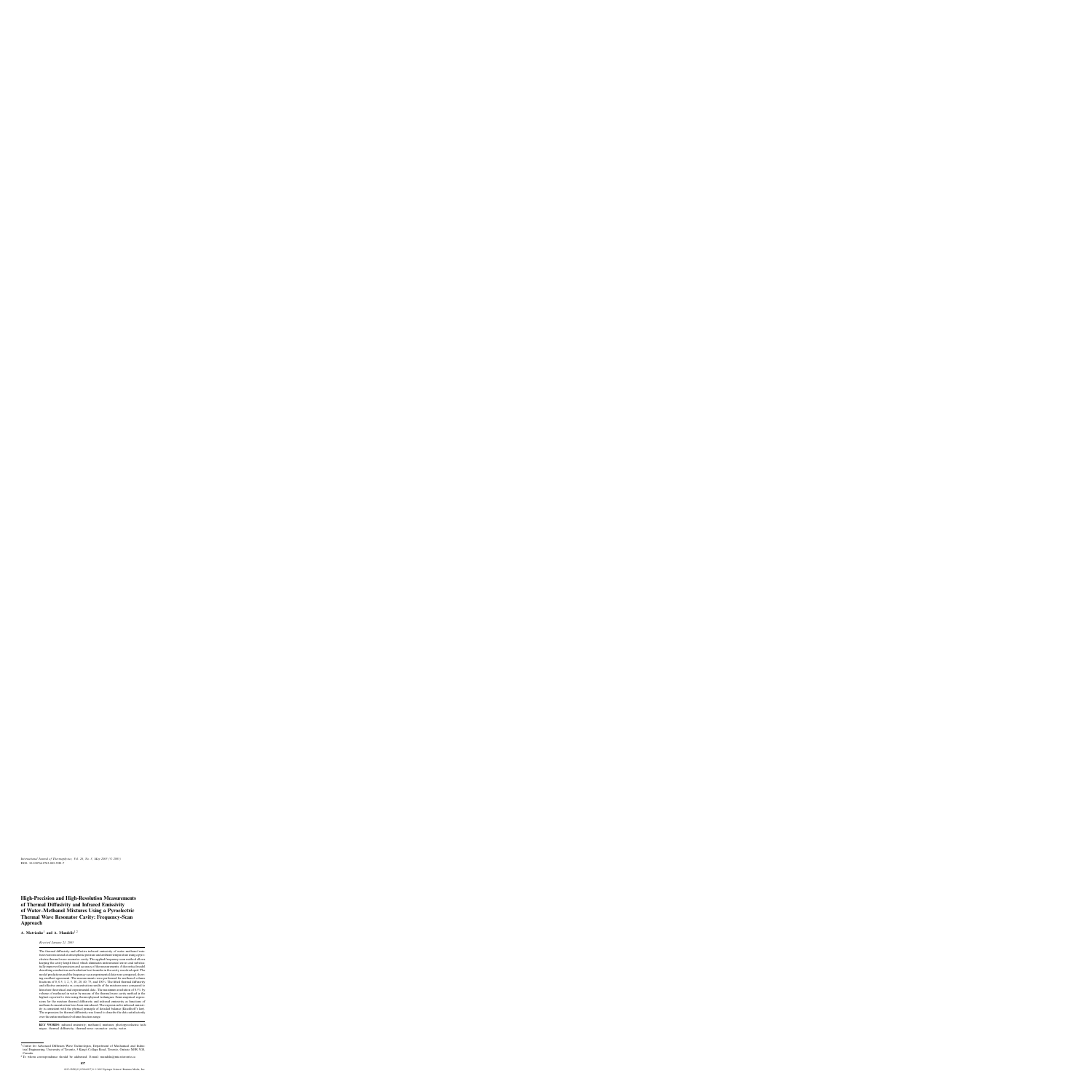# **High-Precision and High-Resolution Measurements of Thermal Diffusivity and Infrared Emissivity of Water–Methanol Mixtures Using a Pyroelectric Thermal Wave Resonator Cavity: Frequency-Scan Approach**

# **A. Matvienko**<sup>1</sup> **and A. Mandelis**1,<sup>2</sup>

*Received January 21, 2005*

The thermal diffusivity and effective infrared emissivity of water–methanol mixtures were measured at atmospheric pressure and ambient temperature using a pyroelectric thermal-wave resonator cavity. The applied frequency-scan method allows keeping the cavity length fixed, which eliminates instrumental errors and substantially improves the precision and accuracy of the measurements. A theoretical model describing conduction and radiation heat transfer in the cavity was developed. The model predictions and the frequency-scan experimental data were compared, showing excellent agreement. The measurements were performed for methanol volume fractions of 0, 0.5, 1, 2, 5, 10, 20, 40, 75, and 100%. The fitted thermal diffusivity and effective emissivity vs. concentration results of the mixtures were compared to literature theoretical and experimental data. The maximum resolution of 0.5% by volume of methanol in water by means of the thermal-wave cavity method is the highest reported to date using thermophysical techniques. Semi-empirical expressions for the mixture thermal diffusivity and infrared emissivity as functions of methanol concentration have been introduced. The expression for infrared emissivity is consistent with the physical principle of detailed balance (Kirchhoff's law). The expression for thermal diffusivity was found to describe the data satisfactorily over the entire methanol volume-fraction range.

**KEY WORDS:** infrared emissivity; methanol; mixtures; photopyroelectric technique; thermal diffusivity; thermal-wave resonator cavity; water.

<sup>&</sup>lt;sup>1</sup> Center for Advanced Diffusion Wave Technologies, Department of Mechanical and Industrial Engineering, University of Toronto, 5 King's College Road, Toronto, Ontario M5R 3G8, Canada.

 $2$ To whom correspondence should be addressed. E-mail: mandelis@mie.utoronto.ca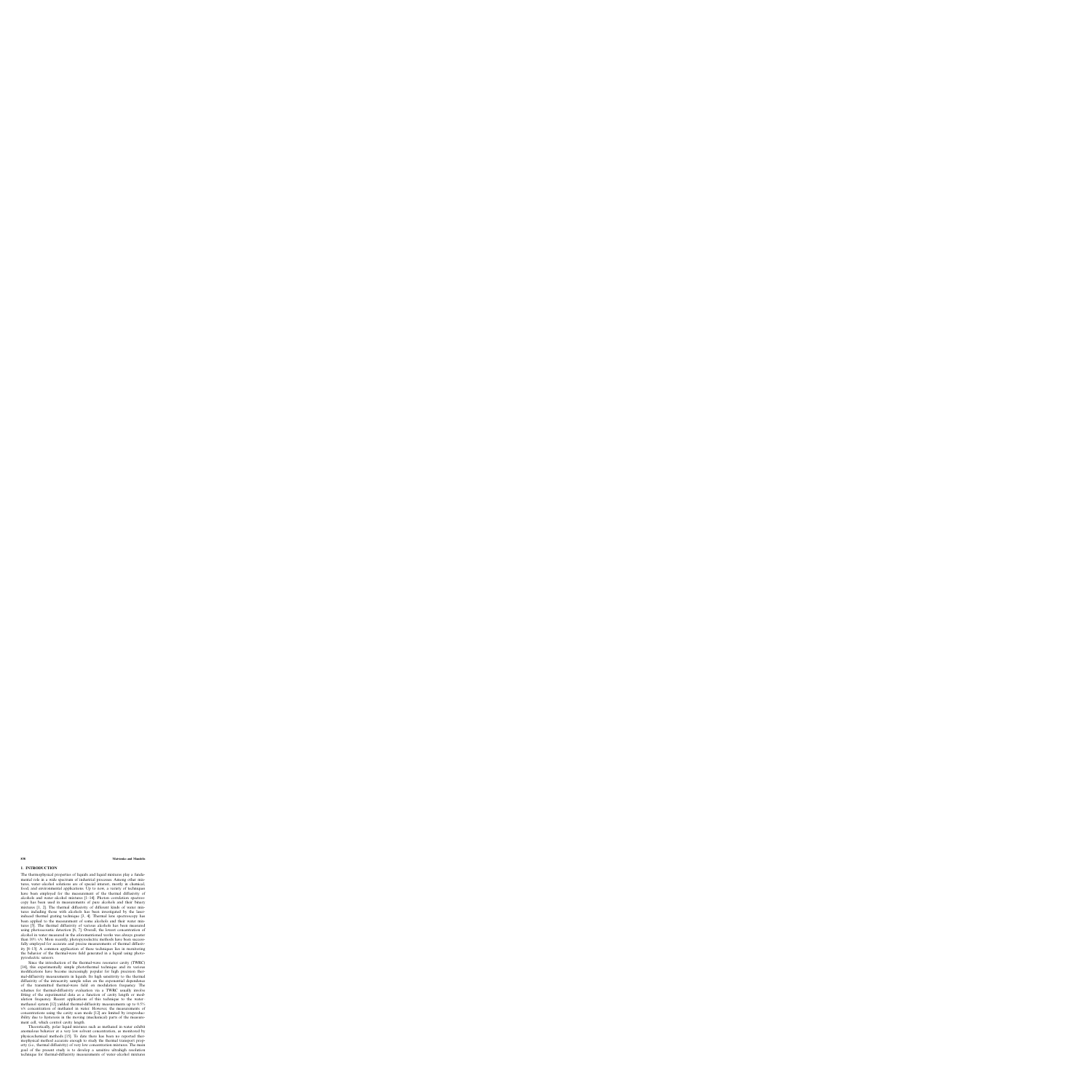## **1. INTRODUCTION**

The thermophysical properties of liquids and liquid mixtures play a fundamental role in a wide spectrum of industrial processes. Among other mixtures, water–alcohol solutions are of special interest, mostly in chemical, food, and environmental applications. Up to now, a variety of techniques have been employed for the measurement of the thermal diffusivity of alcohols and water–alcohol mixtures [1–14]. Photon correlation spectroscopy has been used in measurements of pure alcohols and their binary mixtures [1, 2]. The thermal diffusivity of different kinds of water mixtures including those with alcohols has been investigated by the laserinduced thermal grating technique [3, 4]. Thermal lens spectroscopy has been applied to the measurement of some alcohols and their water mixtures [5]. The thermal diffusivity of various alcohols has been measured using photoacoustic detection [6, 7]. Overall, the lowest concentration of alcohol in water measured in the aforementioned works was always greater than 10% v/v. More recently, photopyroelectric methods have been successfully employed for accurate and precise measurements of thermal diffusivity [8–13]. A common application of these techniques lies in monitoring the behavior of the thermal-wave field generated in a liquid using photopyroelectric sensors.

Since the introduction of the thermal-wave resonator cavity (TWRC) [14], this experimentally simple photothermal technique and its various modifications have become increasingly popular for high precision thermal-diffusivity measurements in liquids. Its high sensitivity to the thermal diffusivity of the intracavity sample relies on the exponential dependence of the transmitted thermal-wave field on modulation frequency. The schemes for thermal-diffusivity evaluation via a TWRC usually involve fitting of the experimental data as a function of cavity length or modulation frequency. Recent applications of this technique to the water– methanol system [12] yielded thermal-diffusivity measurements up to 0.5% v/v concentration of methanol in water. However, the measurements of concentrations using the cavity scan mode [12] are limited by irreproducibility due to hysteresis in the moving (mechanical) parts of the measurement cell, which control cavity length.

Theoretically, polar liquid mixtures such as methanol in water exhibit anomalous behavior at a very low solvent concentration, as monitored by physicochemical methods [15]. To date there has been no reported thermophysical method accurate enough to study the thermal transport property (i.e., thermal diffusivity) of very low concentration mixtures. The main goal of the present study is to develop a sensitive ultrahigh resolution technique for thermal-diffusivity measurements of water–alcohol mixtures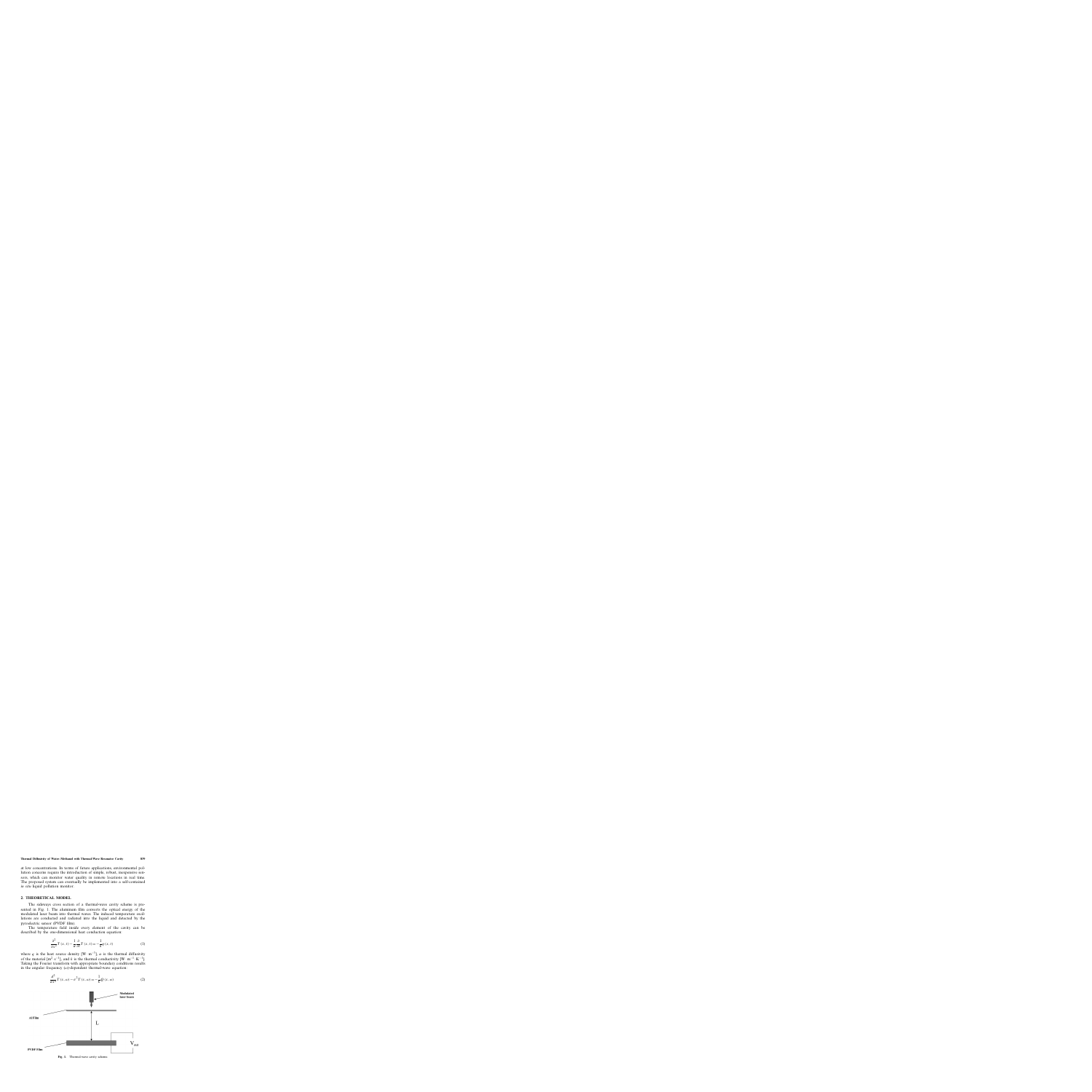at low concentrations. In terms of future applications, environmental pollution concerns require the introduction of simple, robust, inexpensive sensors, which can monitor water quality in remote locations in real time. The proposed system can eventually be implemented into a self-contained *in situ* liquid pollution monitor.

## **2. THEORETICAL MODEL**

The sideways cross section of a thermal-wave cavity scheme is presented in Fig. 1. The aluminum film converts the optical energy of the modulated laser beam into thermal waves. The induced temperature oscillations are conducted and radiated into the liquid and detected by the pyroelectric sensor (PVDF film).

The temperature field inside every element of the cavity can be described by the one-dimensional heat conduction equation:

$$
\frac{\partial^2}{\partial x^2} T(x,t) - \frac{1}{\alpha} \frac{\partial}{\partial t} T(x,t) = -\frac{1}{k} q(x,t)
$$
 (1)

where q is the heat source density  $[W \cdot m^{-3}]$ ,  $\alpha$  is the thermal diffusivity of the material  $[m^2 \tcdot s^{-1}]$ , and k is the thermal conductivity  $[W \cdot m^{-1} \cdot K^{-1}]$ . Taking the Fourier transform with appropriate boundary conditions results in the angular frequency  $(\omega)$ -dependent thermal-wave equation:





**Fig. 1.** Thermal-wave cavity scheme.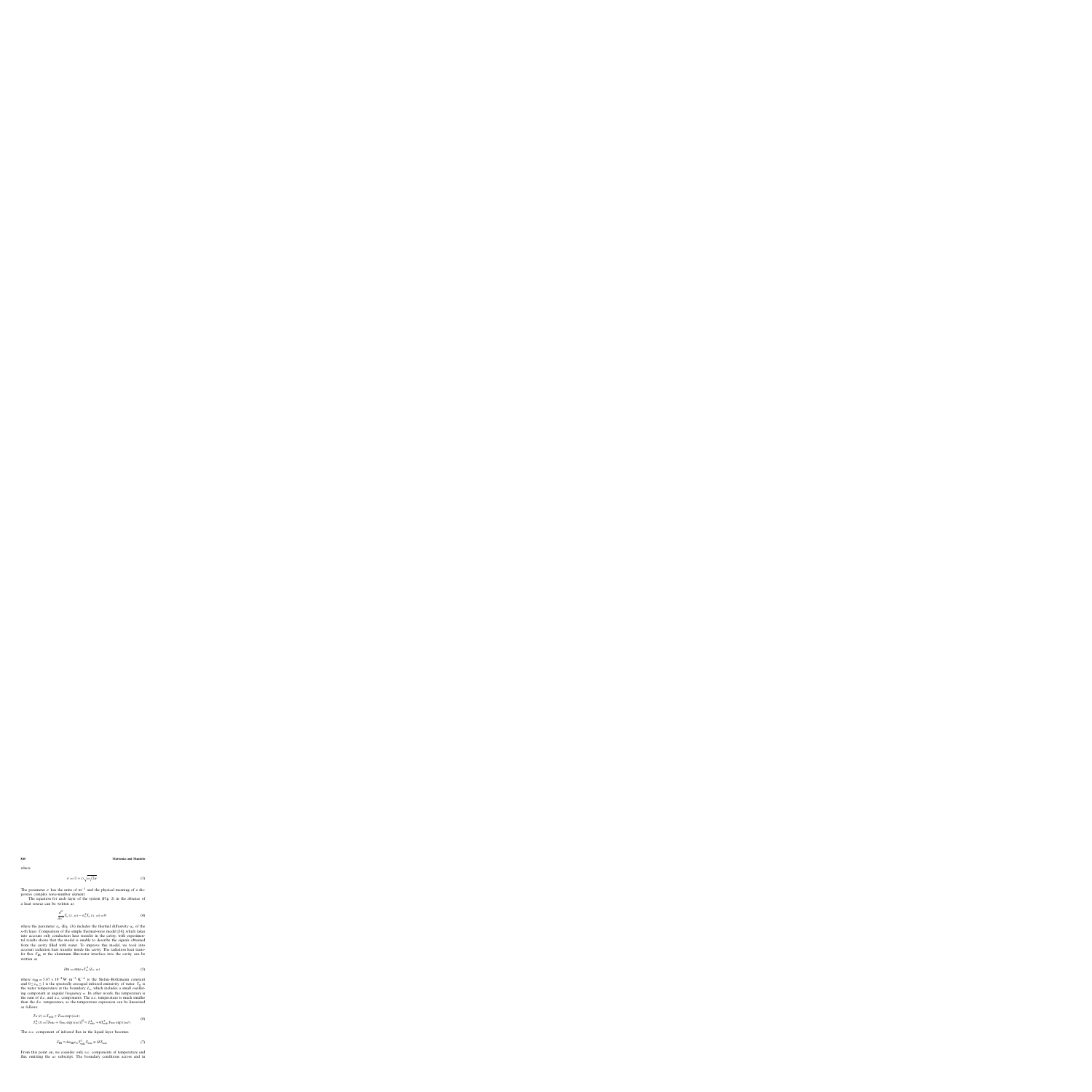where

$$
\sigma = (1+i)\sqrt{\omega/2\alpha} \tag{3}
$$

The parameter  $\sigma$  has the units of m<sup>-1</sup> and the physical meaning of a dispersive complex wave-number element.

The equation for each layer of the system (Fig. 2) in the absence of a heat source can be written as

$$
\frac{d^2}{dx^2}T_n(x,\omega)-\sigma_n^2T_n(x,\omega)=0
$$
\n(4)

where the parameter  $\sigma_n$  (Eq. (3)) includes the thermal diffusivity  $\alpha_n$  of the n-th layer. Comparison of the simple thermal-wave model [16], which takes into account only conduction heat transfer in the cavity, with experimental results shows that the model is unable to describe the signals obtained from the cavity filled with water. To improve this model, we took into account radiation heat transfer inside the cavity. The radiation heat transfer flux  $F_{IR}$  at the aluminum film-water interface into the cavity can be written as

$$
F_{\rm IR} = \sigma_{\rm SB} \varepsilon_{\rm w} T_{\rm w}^4 (L_{\rm s}, \omega) \tag{5}
$$

where  $\sigma_{SB} = 5.67 \times 10^{-8} \,\mathrm{W \cdot m^{-2} \cdot K^{-4}}$  is the Stefan–Boltzmann constant and  $0 \le \varepsilon_w \le 1$  is the spectrally averaged infrared emissivity of water.  $T_w$  is the water temperature at the boundary  $L_s$ , which includes a small oscillating component at angular frequency  $\omega$ . In other words, the temperature is the sum of d.c. and a.c. components. The a.c. temperature is much smaller than the d.c. temperature, so the temperature expression can be linearized as follows:

$$
T_{\rm w}(t) = T_{\rm wdc} + T_{\rm wac} \exp(i\omega t)
$$
  
\n
$$
T_{\rm w}^{4}(t) = [T_{\rm wdc} + T_{\rm wac} \exp(i\omega t)]^{4} \approx T_{\rm wdc}^{4} + 4T_{\rm wdc}^{3} T_{\rm wac} \exp(i\omega t)
$$
\n(6)

The a.c. component of infrared flux in the liquid layer becomes

$$
F_{\rm IR} \approx 4\sigma_{\rm SB}\varepsilon_{\rm w} T_{\rm wdc}^3 T_{\rm wac} \equiv H T_{\rm wac} \tag{7}
$$

From this point on, we consider only a.c. components of temperature and flux omitting the *ac* subscript. The boundary conditions across and in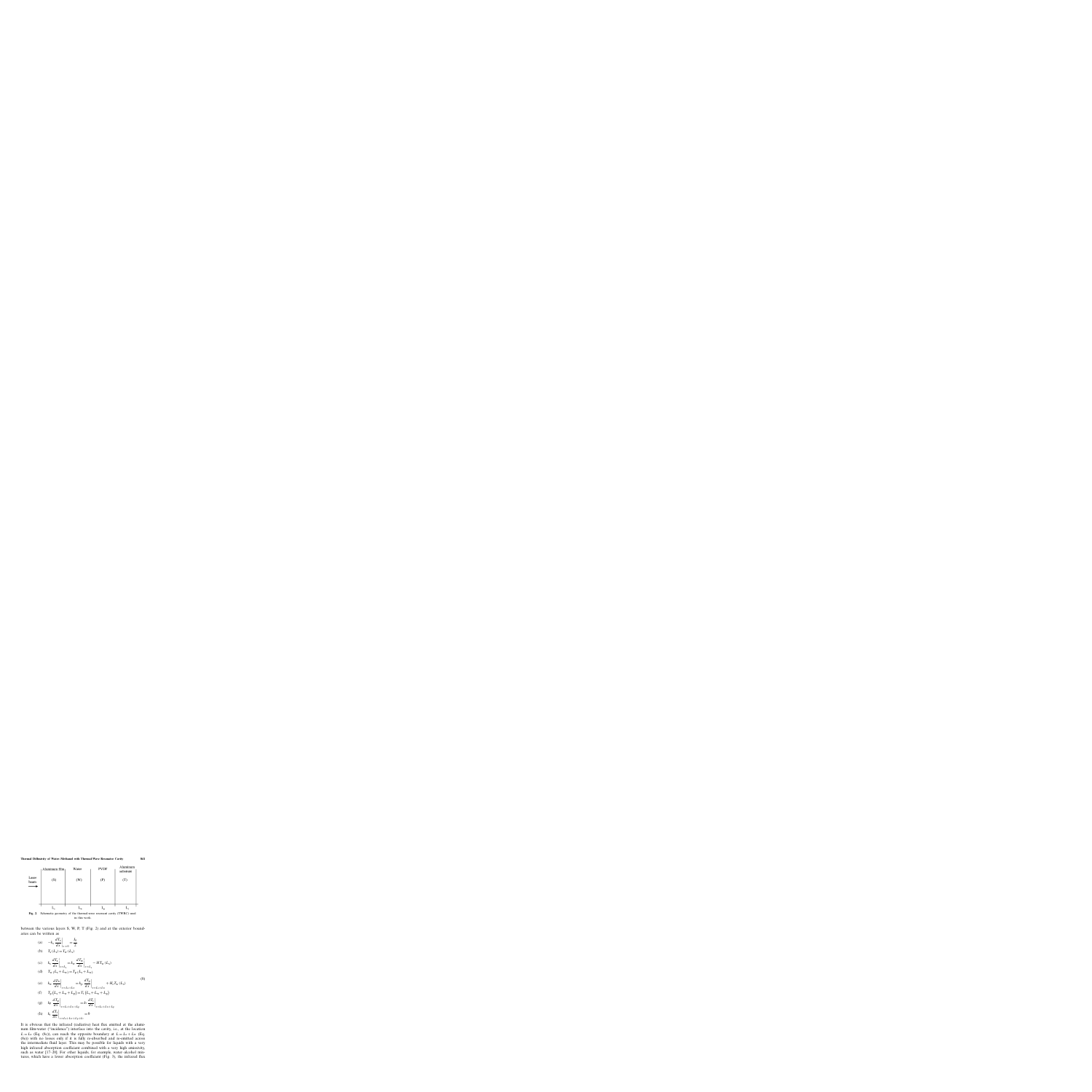

**Fig. 2.** Schematic geometry of the thermal-wave resonant cavity (TWRC) used in this work.

between the various layers S, W, P, T (Fig. 2) and at the exterior boundaries can be written as

- (a)  $-k_s \frac{dT_s}{dr}$  $\frac{d}{dx}$  $\Big|_{x=0}$  $=\frac{I_0}{2}$
- (b)  $T_s(L_s) = T_w(L_s)$

$$
\text{(c)} \qquad k_{\text{s}} \left. \frac{d T_{\text{s}}}{d x} \right|_{x=L_{\text{s}}} = k_{\text{w}} \left. \frac{d T_{\text{w}}}{d x} \right|_{x=L_{\text{s}}} - H T_{\text{w}} \left( L_{\text{s}} \right)
$$

(d) 
$$
T_w (L_s + L_w) = T_p (L_s + L_w)
$$

$$
\begin{array}{ll}\n\text{(e)} & k_{\text{w}} \left. \frac{d \mathcal{T}_{\text{w}}}{d x} \right|_{x=L_{\text{s}}+L_{\text{w}}} = k_{\text{p}} \left. \frac{d \mathcal{T}_{\text{p}}}{d x} \right|_{x=L_{\text{s}}+L_{\text{w}}} + H_{e} \mathcal{T}_{\text{w}} \left( L_{\text{s}} \right)\n\end{array} \tag{8}
$$

(f) 
$$
T_p(L_s + L_w + L_p) = T_t(L_s + L_w + L_p)
$$

(g) 
$$
k_p \frac{dT_p}{dx}\Big|_{x=L_s+L_w+L_p} = k_t \frac{dT_t}{dx}\Big|_{x=L_s+L_w+L_p}
$$
  
\n(h)  $k_t \frac{dT_t}{dx}\Big|_{x=L_s+L_w+L_p+L_t} = 0$ 

It is obvious that the infrared (radiative) heat flux emitted at the aluminum film-water ("incidence") interface into the cavity, i.e., at the location  $L = L_s$  (Eq. (8c)), can reach the opposite boundary at  $L = L_s + L_w$  (Eq. (8e)) with no losses only if it is fully re-absorbed and re-emitted across the intermediate fluid layer. This may be possible for liquids with a very high infrared absorption coefficient combined with a very high emissivity, such as water [17–20]. For other liquids, for example, water–alcohol mixtures, which have a lower absorption coefficient (Fig. 3), the infrared flux

 $(9)$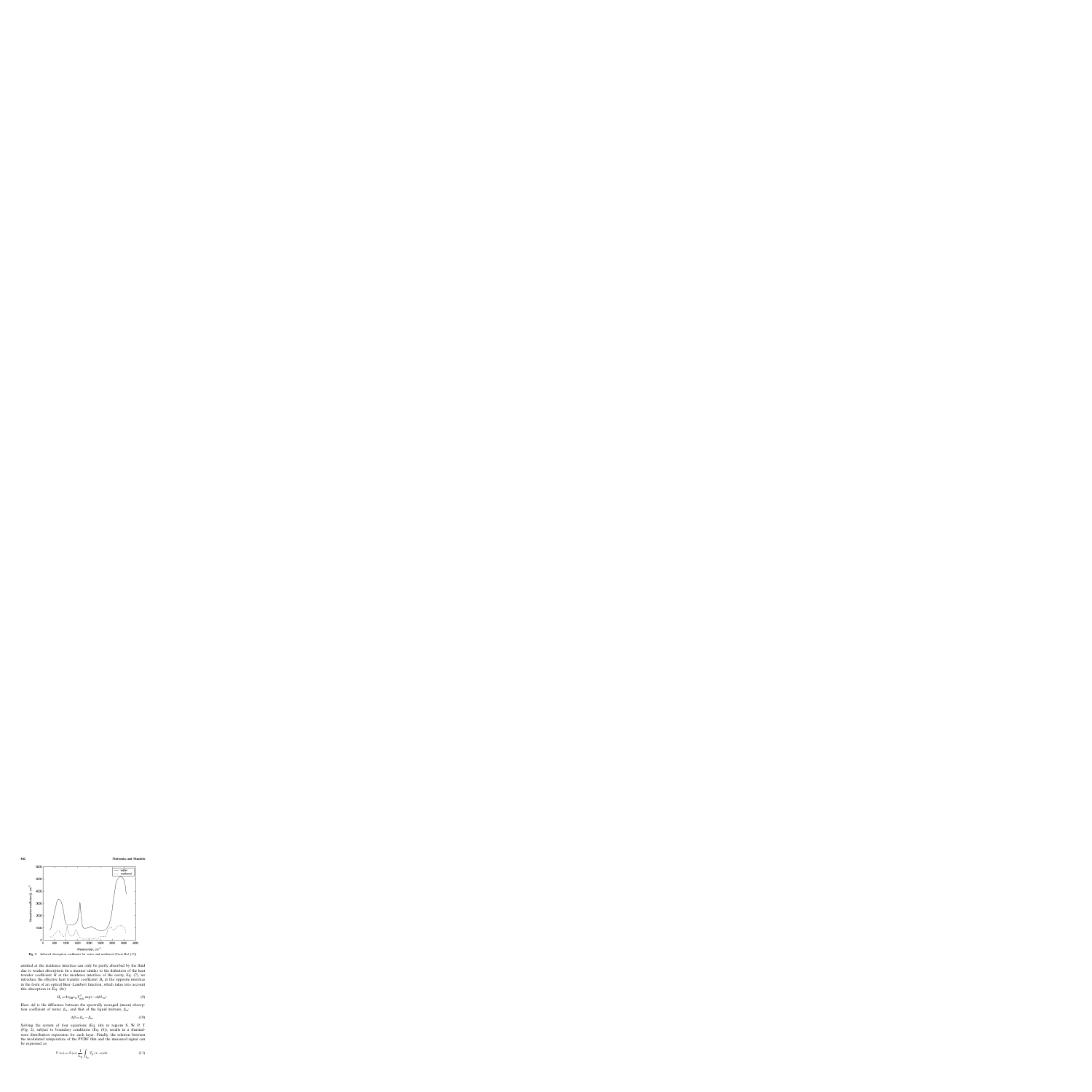

**Fig. 3.** Infrared absorption coefficient for water and methanol (From Ref. [17]).

emitted at the incidence interface can only be partly absorbed by the fluid due to weaker absorption. In a manner similar to the definition of the heat transfer coefficient  $H$  at the incidence interface of the cavity, Eq. (7), we introduce the effective heat transfer coefficient  $H<sub>e</sub>$  at the opposite interface in the form of an optical Beer–Lambert function, which takes into account this absorption in Eq. (8e):

$$
H_{\rm e} = 4\sigma_{\rm SB}\varepsilon_{\rm w}T_{\rm wdc}^3\exp(-\Delta\beta L_{\rm w})\tag{9}
$$

Here  $\Delta\beta$  is the difference between the spectrally averaged (mean) absorption coefficient of water,  $\beta_w$ , and that of the liquid mixture,  $\beta_m$ .

$$
\Delta \beta = \beta_{\rm w} - \beta_{\rm m} \tag{10}
$$

Solving the system of four equations (Eq. (4)) in regions S, W, P, T (Fig. 2), subject to boundary conditions (Eq. (8)), results in a thermalwave distribution expression for each layer. Finally, the relation between the modulated temperature of the PVDF film and the measured signal can be expressed as

$$
V(\omega) = S(\omega) \frac{1}{L_{\rm p}} \int_{L_{\rm p}} T_{\rm p}(x, \omega) dx
$$
 (11)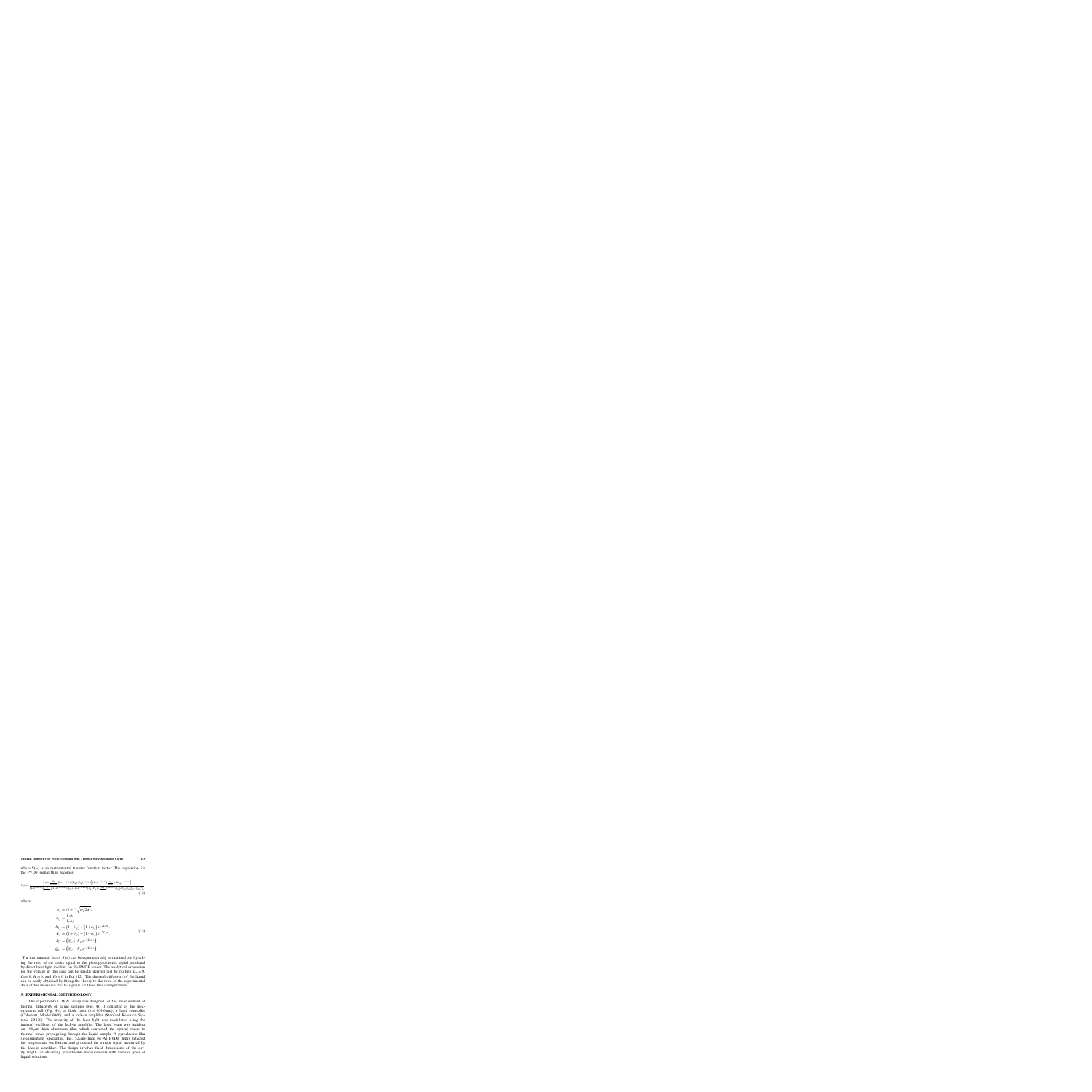where  $S(\omega)$  is an instrumental transfer function factor. The expression for the PVDF signal thus becomes

$$
V(\omega) = \frac{S(\omega) \frac{2l_0}{k_{\rm w}\sigma_{\rm w}\sigma_{\rm p}} \left(1 - e^{-L_{\rm p}\sigma_{\rm p}}\right) \left(Y_{\rm tp} + X_{\rm tp}e^{-L_{\rm p}\sigma_{\rm p}}\right) \left[\left(1 - e^{-2L_{\rm w}\sigma_{\rm w}}\right) \frac{H_{\rm e}}{k_{\rm p}\sigma_{\rm p}} + 2b_{\rm wp}e^{-L_{\rm w}\sigma_{\rm w}}\right]}{\left(1 - e^{-2L_{\rm s}\sigma_{\rm s}}\right) \left[\frac{H}{k_{\rm w}\sigma_{\rm w}}\left\{\left(1 - e^{-2L_{\rm w}\sigma_{\rm w}}\right)Q_{\rm tp} + \left(1 + e^{-2L_{\rm w}\sigma_{\rm w}}\right) b_{\rm wp}P_{\rm tp}\right\} - \frac{2H_{\rm e}}{k_{\rm w}\sigma_{\rm w}}e^{-2L_{\rm w}\sigma_{\rm w}}P_{\rm tp}\right] + b_{\rm wp}P_{\rm tp}Q_{\rm sw} + Q_{\rm tp}P_{\rm sw}}\tag{12}
$$

where

$$
\sigma_j = (1+i)\sqrt{\omega/2\alpha_j},
$$
  
\n
$$
b_{ij} = \frac{k_i \sigma_i}{k_j \sigma_j},
$$
  
\n
$$
X_{ij} = (1-b_{ij}) + (1+b_{ij}) e^{-2L_i \sigma_i},
$$
  
\n
$$
Y_{ij} = (1+b_{ij}) + (1-b_{ij}) e^{-2L_i \sigma_i},
$$
  
\n
$$
P_{ij} = (Y_{ij} + X_{ij} e^{-2L_j \sigma_j}),
$$
  
\n
$$
Q_{ij} = (Y_{ij} - X_{ij} e^{-2L_j \sigma_j}).
$$
\n(13)

The instrumental factor  $S(\omega)$  can be experimentally normalized out by taking the ratio of the cavity signal to the photopyroelectric signal produced by direct laser light incident on the PVDF sensor. The analytical expression for the voltage in this case can be strictly derived just by putting  $L_w = 0$ ,  $L_s = 0$ ,  $H = 0$ , and  $H_e = 0$  in Eq. (12). The thermal diffusivity of the liquid can be easily obtained by fitting the theory to the ratio of the experimental data of the measured PVDF signals for these two configurations.

## **3. EXPERIMENTAL METHODOLOGY**

The experimental TWRC setup was designed for the measurement of thermal diffusivity of liquid samples (Fig. 4). It consisted of the measurement cell (Fig. 4b), a diode laser ( $\lambda = 809.6$  nm), a laser controller (Coherent, Model 6060), and a lock-in amplifier (Stanford Research Systems SR830). The intensity of the laser light was modulated using the internal oscillator of the lock-in amplifier. The laser beam was incident on  $100 \mu$ m-thick aluminum film, which converted the optical waves to thermal waves propagating through the liquid sample. A pyroelectric film (Measurement Specialties, Inc.  $52 \mu$ m-thick Ni–Al PVDF film) detected the temperature oscillations and produced the output signal measured by the lock-in amplifier. The design involves fixed dimensions of the cavity length for obtaining reproducible measurements with various types of liquid solutions.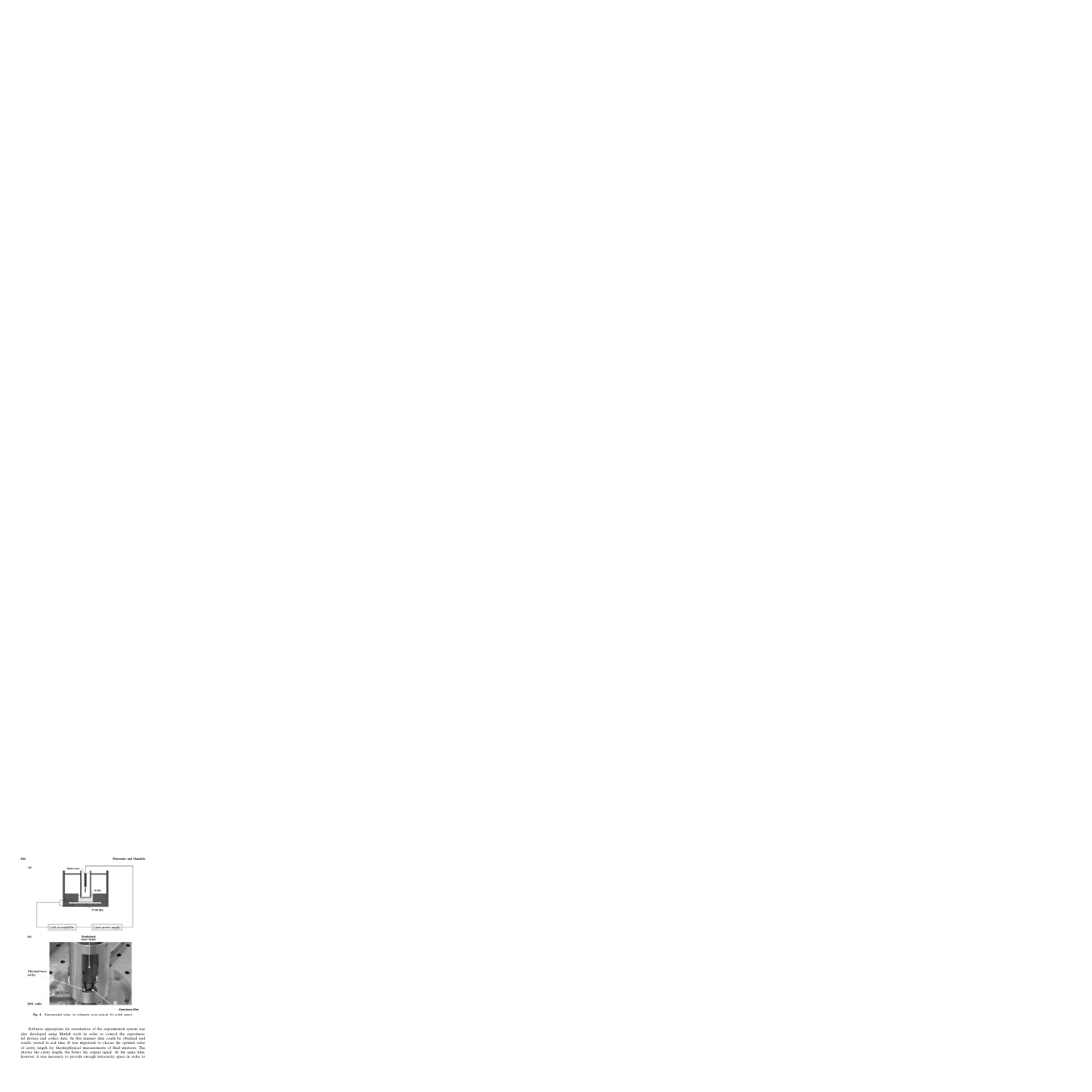

**Fig. 4.** Experimental setup: (a) schematic cross section; (b) actual sensor.

Software appropriate for automation of the experimental system was also developed using Matlab tools in order to control the experimental devices and collect data. In this manner data could be obtained and results viewed in real time. It was important to choose the optimal value of cavity length for thermophysical measurements of fluid mixtures. The shorter the cavity length, the better the output signal. At the same time, however, it was necessary to provide enough intracavity space in order to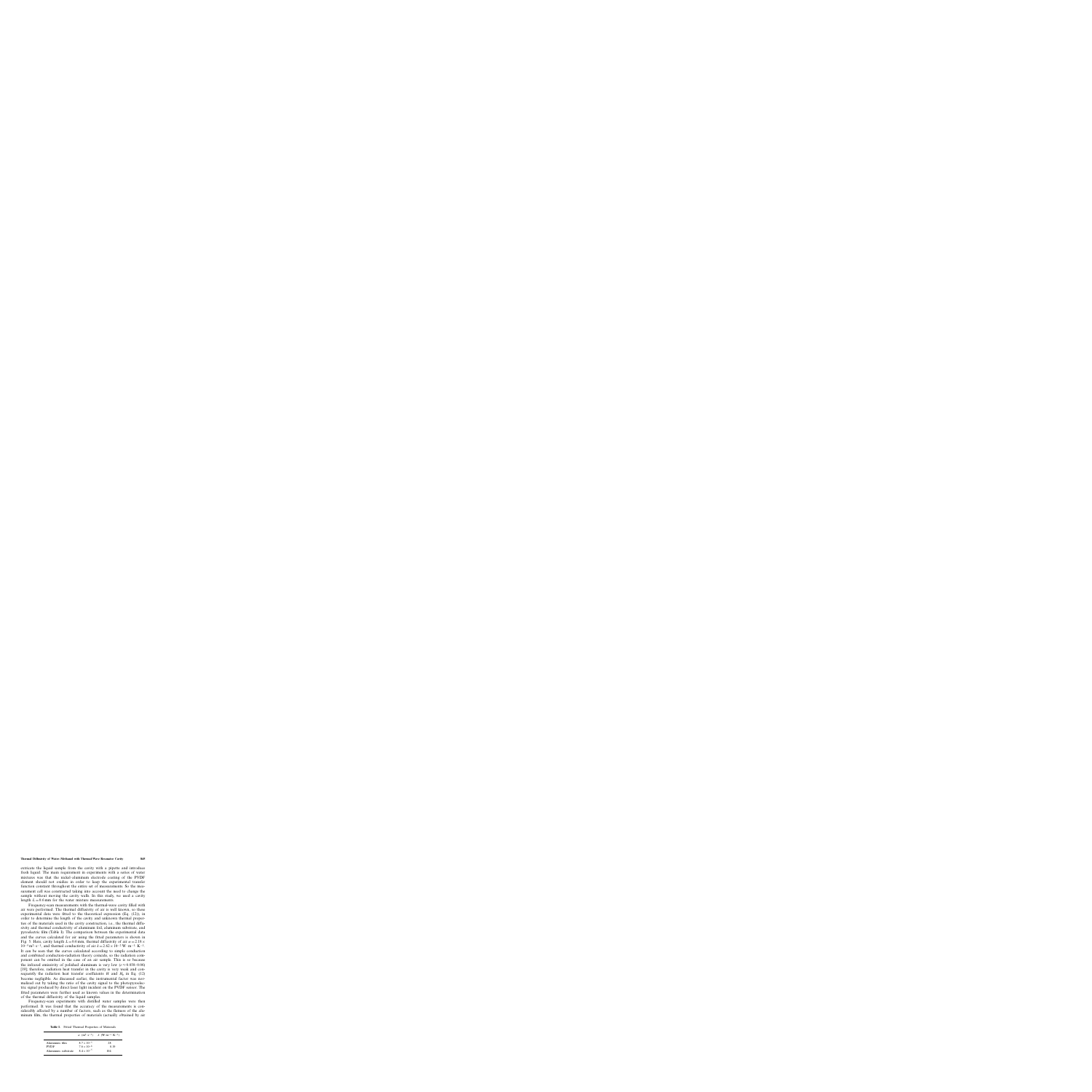extricate the liquid sample from the cavity with a pipette and introduce fresh liquid. The main requirement in experiments with a series of water mixtures was that the nickel–aluminum electrode coating of the PVDF element should not oxidize in order to keep the experimental transfer function constant throughout the entire set of measurements. So the measurement cell was constructed taking into account the need to change the sample without moving the cavity walls. In this study, we used a cavity length  $L=0.6$  mm for the water mixture measurements.

Frequency-scan measurements with the thermal-wave cavity filled with air were performed. The thermal diffusivity of air is well known, so these experimental data were fitted to the theoretical expression (Eq. (12)), in order to determine the length of the cavity and unknown thermal properties of the materials used in the cavity construction, i.e., the thermal diffusivity and thermal conductivity of aluminum foil, aluminum substrate, and pyroelectric film (Table I). The comparison between the experimental data and the curves calculated for air using the fitted parameters is shown in Fig. 5. Here, cavity length  $L=0.6$  mm, thermal diffusivity of air  $\alpha = 2.18 \times$  $10^{-5}$  m<sup>2</sup>·s<sup>-1</sup>, and thermal conductivity of air  $k = 2.62 \times 10^{-2}$  W·m<sup>-1</sup>·K<sup>-1</sup>. It can be seen that the curves calculated according to simple conduction and combined conduction-radiation theory coincide, so the radiation component can be omitted in the case of an air sample. This is so because the infrared emissivity of polished aluminum is very low ( $\varepsilon \approx 0.038{\text -}0.06$ ) [19]; therefore, radiation heat transfer in the cavity is very weak and consequently the radiation heat transfer coefficients  $H$  and  $H<sub>e</sub>$  in Eq. (12) become negligible. As discussed earlier, the instrumental factor was normalized out by taking the ratio of the cavity signal to the photopyroelectric signal produced by direct laser light incident on the PVDF sensor. The fitted parameters were further used as known values in the determination of the thermal diffusivity of the liquid samples.

Frequency-scan experiments with distilled water samples were then performed. It was found that the accuracy of the measurements is considerably affected by a number of factors, such as the flatness of the aluminum film, the thermal properties of materials (actually obtained by air

|                    |                      | $\alpha$ (m <sup>2</sup> ·s <sup>-1</sup> ) k (W·m <sup>-1</sup> ·K <sup>-1</sup> ) |
|--------------------|----------------------|-------------------------------------------------------------------------------------|
| Aluminum film      | $8.7 \times 10^{-5}$ | 28                                                                                  |
| <b>PVDF</b>        | $7.6 \times 10^{-8}$ | 0.19                                                                                |
| Aluminum substrate | $8.4 \times 10^{-5}$ | 104                                                                                 |

**Table I.** Fitted Thermal Properties of Materials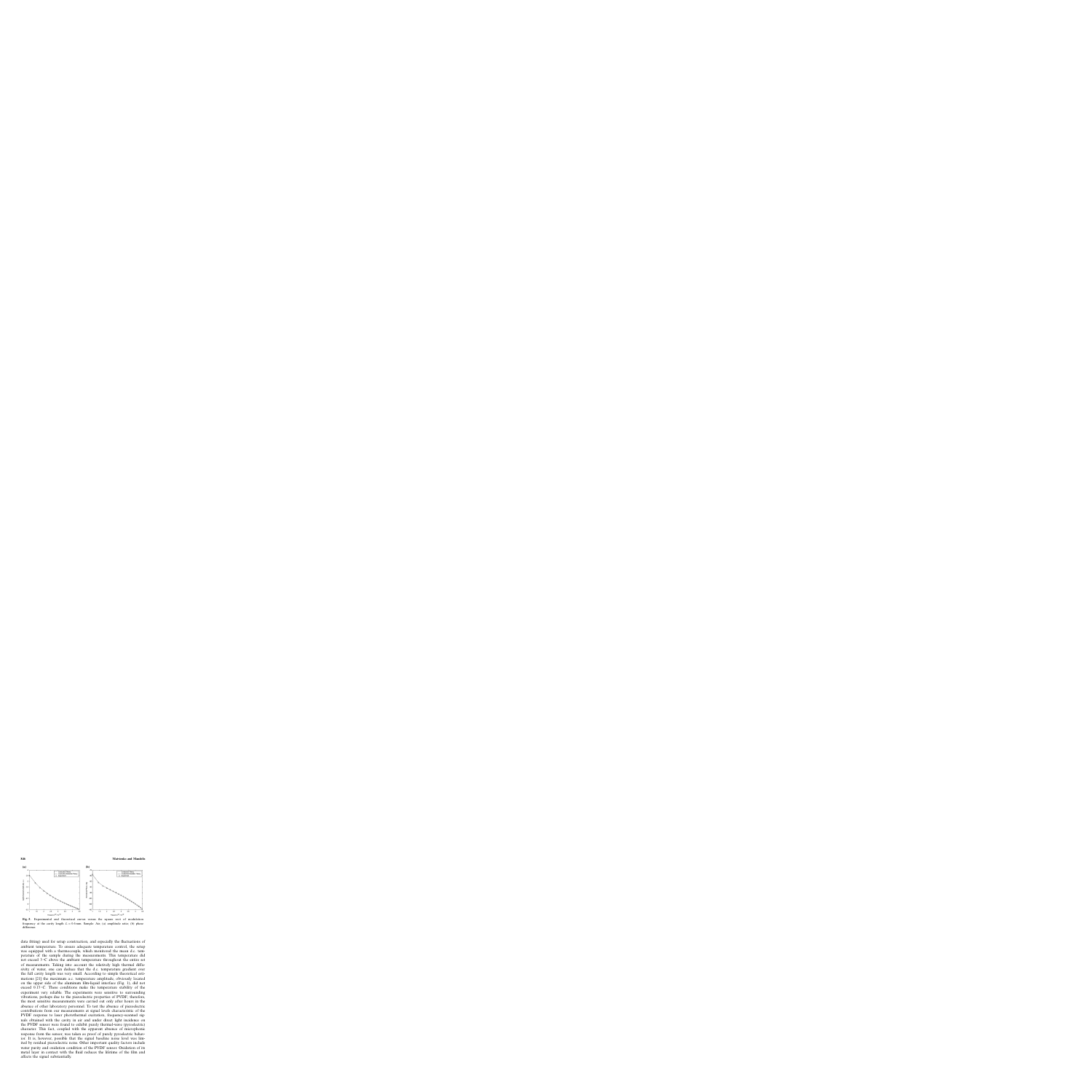

**Fig. 5.** Experimental and theoretical curves versus the square root of modulation frequency at the cavity length  $L = 0.6$  mm. Sample: Air; (a) amplitude ratio; (b) phase difference.

data fitting) used for setup construction, and especially the fluctuations of ambient temperature. To ensure adequate temperature control, the setup was equipped with a thermocouple, which monitored the mean d.c. temperature of the sample during the measurements. This temperature did not exceed  $3^{\circ}$ C above the ambient temperature throughout the entire set of measurements. Taking into account the relatively high thermal diffusivity of water, one can deduce that the d.c. temperature gradient over the full cavity length was very small. According to simple theoretical estimations [21] the maximum a.c. temperature amplitude, obviously located on the upper side of the aluminum film-liquid interface (Fig. 1), did not exceed  $0.15\,^{\circ}\text{C}$ . These conditions make the temperature stability of the experiment very reliable. The experiments were sensitive to surrounding vibrations, perhaps due to the piezoelectric properties of PVDF; therefore, the most sensitive measurements were carried out only after hours in the absence of other laboratory personnel. To test the absence of piezoelectric contributions from our measurements at signal levels characteristic of the PVDF response to laser photothermal excitation, frequency-scanned signals obtained with the cavity in air and under direct light incidence on the PVDF sensor were found to exhibit purely thermal-wave (pyroelectric) character. This fact, coupled with the apparent absence of microphonic response from the sensor, was taken as proof of purely pyroelectric behavior. It is, however, possible that the signal baseline noise level was limited by residual piezoelectric noise. Other important quality factors include water purity and oxidation condition of the PVDF sensor. Oxidation of its metal layer in contact with the fluid reduces the lifetime of the film and affects the signal substantially.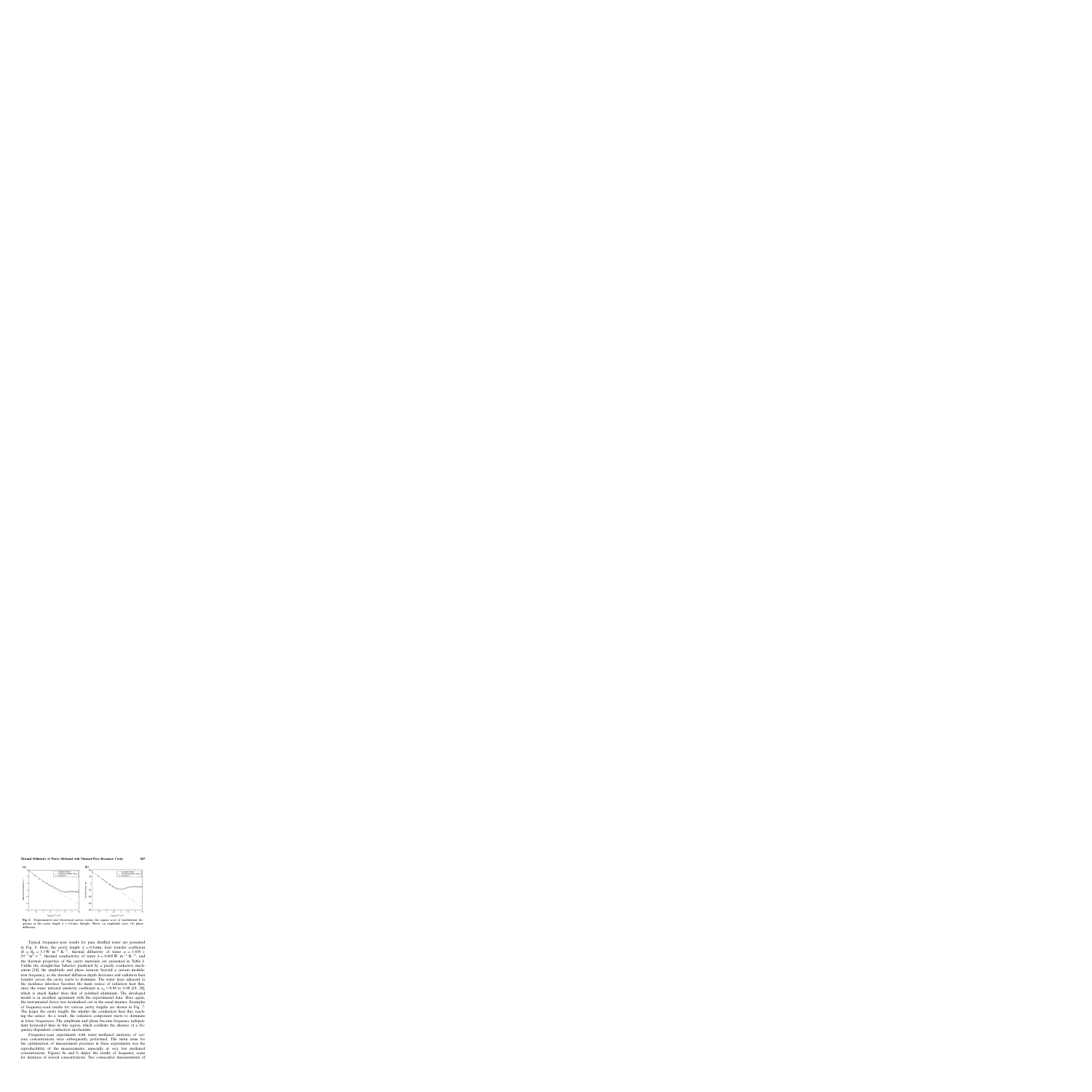

**Fig. 6.** Experimental and theoretical curves versus the square root of modulation frequency at the cavity length  $L = 0.6$  mm. Sample: Water; (a) amplitude ratio; (b) phase difference.

Typical frequency-scan results for pure distilled water are presented in Fig. 6. Here, the cavity length  $L = 0.6$  mm, heat transfer coefficient  $H = H<sub>e</sub> = 5.3 \text{ W} \cdot \text{m}^{-2} \cdot \text{K}^{-1}$ , thermal diffusivity of water  $\alpha = 1.430 \times$  $10^{-7}$  m<sup>2</sup>·s<sup>-1</sup>, thermal conductivity of water  $k = 0.603$  W $\cdot$ m<sup>-1</sup>·K<sup>-1</sup>, and the thermal properties of the cavity materials are presented in Table I. Unlike the straight-line behavior predicted by a purely conductive mechanism [14], the amplitude and phase saturate beyond a certain modulation frequency, as the thermal diffusion depth decreases and radiation heat transfer across the cavity starts to dominate. The water layer adjacent to the incidence interface becomes the main source of radiation heat flux, since the water infrared emisivity coefficient is  $\varepsilon_{w} \approx 0.96$  to 0.99 [19, 20], which is much higher than that of polished aluminum. The developed model is in excellent agreement with the experimental data. Here again, the instrumental factor was normalized out in the usual manner. Examples of frequency-scan results for various cavity lengths are shown in Fig. 7. The larger the cavity length, the smaller the conduction heat flux reaching the sensor. As a result, the radiation component starts to dominate at lower frequencies. The amplitude and phase become frequency independent horizontal lines in this region, which confirms the absence of a frequency-dependent conduction mechanism.

Frequency-scan experiments with water–methanol mixtures of various concentrations were subsequently performed. The main issue for the optimization of measurement precision in these experiments was the reproducibility of the measurements, especially at very low methanol concentrations. Figures 8a and b depict the results of frequency scans for mixtures of several concentrations. Two consecutive measurements of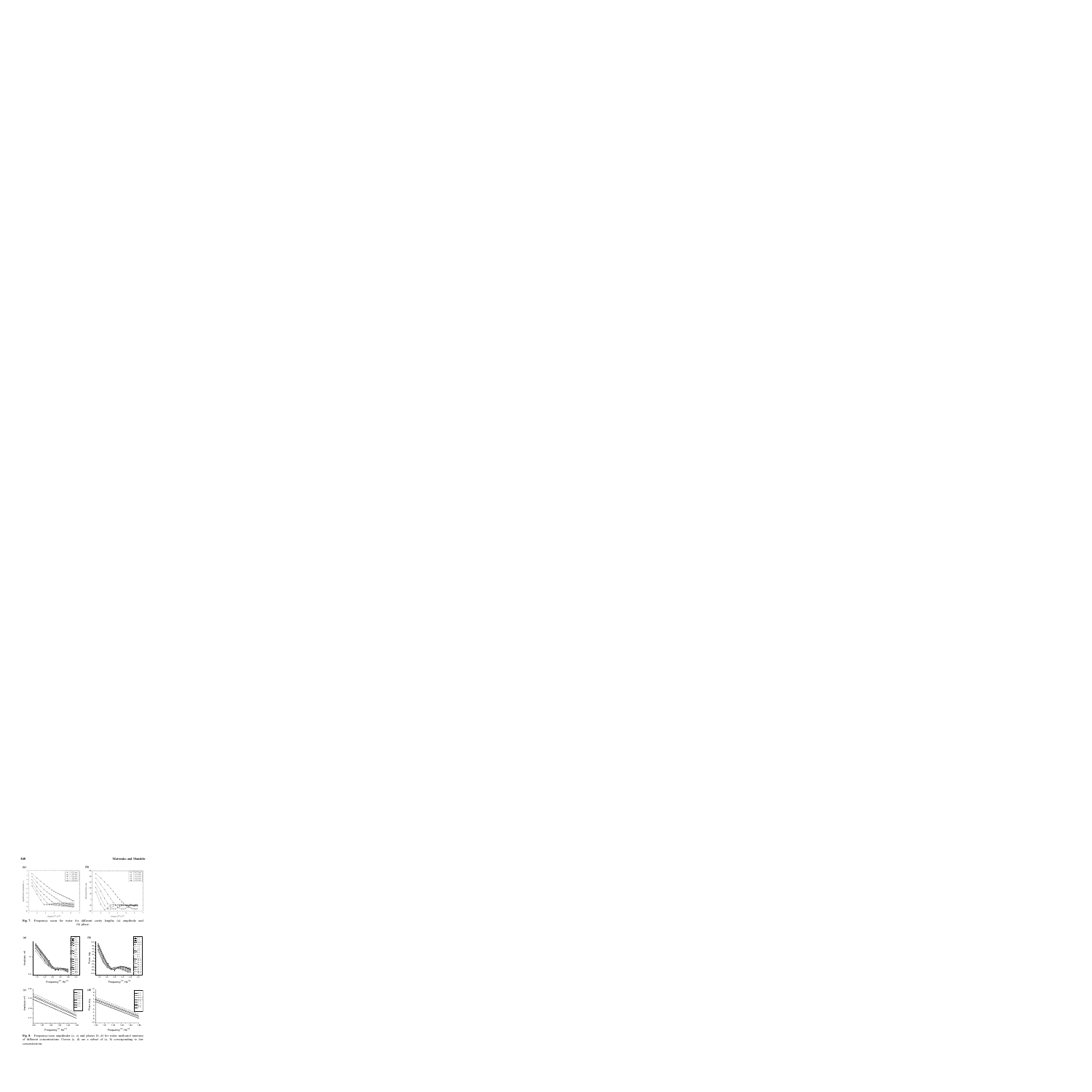

**Fig. 7.** Frequency scans for water for different cavity lengths, (a) amplitude and (b) phase.



**Fig. 8.** Frequency-scan amplitudes (a, c) and phases (b, d) for water–methanol mixtures of different concentrations. Curves (c, d) are a subset of (a, b) corresponding to low concentrations.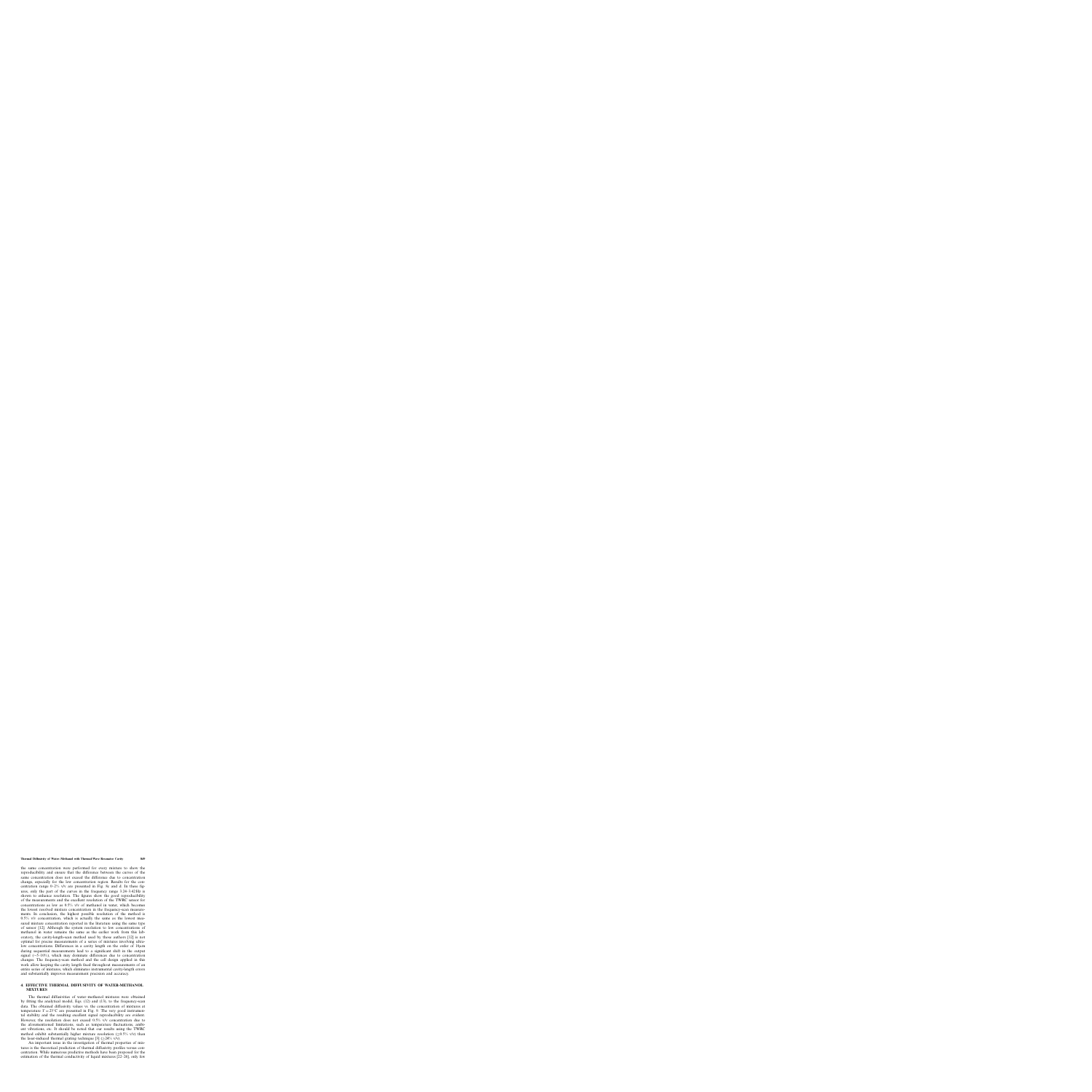the same concentration were performed for every mixture to show the reproducibility and ensure that the difference between the curves of the same concentration does not exceed the difference due to concentration change, especially for the low concentration region. Results for the concentration range  $0-2\%$  v/v are presented in Fig. 8c and d. In these figures, only the part of the curves in the frequency range 3.24–3.42 Hz is shown to enhance resolution. The figures show the good reproducibility of the measurements and the excellent resolution of the TWRC sensor for concentrations as low as  $0.5\%$  v/v of methanol in water, which becomes the lowest resolved mixture concentration in the frequency-scan measurements. In conclusion, the highest possible resolution of the method is 0.5% v/v concentration, which is actually the same as the lowest measured mixture concentration reported in the literature using the same type of sensor [12]. Although the system resolution to low concentrations of methanol in water remains the same as the earlier work from this laboratory, the cavity-length-scan method used by those authors [12] is not optimal for precise measurements of a series of mixtures involving ultralow concentrations. Differences in a cavity length on the order of  $10 \mu m$ during sequential measurements lead to a significant shift in the output signal ( $\sim$ 5–10%), which may dominate differences due to concentration changes. The frequency-scan method and the cell design applied in this work allow keeping the cavity length fixed throughout measurements of an entire series of mixtures, which eliminates instrumental cavity-length errors and substantially improves measurement precision and accuracy.

# **4. EFFECTIVE THERMAL DIFFUSIVITY OF WATER-METHANOL MIXTURES**

The thermal diffusivities of water–methanol mixtures were obtained by fitting the analytical model, Eqs. (12) and (13), to the frequency-scan data. The obtained diffusivity values vs. the concentration of mixtures at temperature  $T = 23^{\circ}$ C are presented in Fig. 9. The very good instrumental stability and the resulting excellent signal reproducibility are evident. However, the resolution does not exceed 0.5% v/v concentration due to the aforementioned limitations, such as temperature fluctuations, ambient vibrations, etc. It should be noted that our results using the TWRC method exhibit substantially higher mixture resolution  $(>0.5\%$  v/v) than the laser-induced thermal grating technique [3] ( $\geq$ 24% v/v).

An important issue in the investigation of thermal properties of mixtures is the theoretical prediction of thermal diffusivity profiles versus concentration. While numerous predictive methods have been proposed for the estimation of the thermal conductivity of liquid mixtures [22–26], only few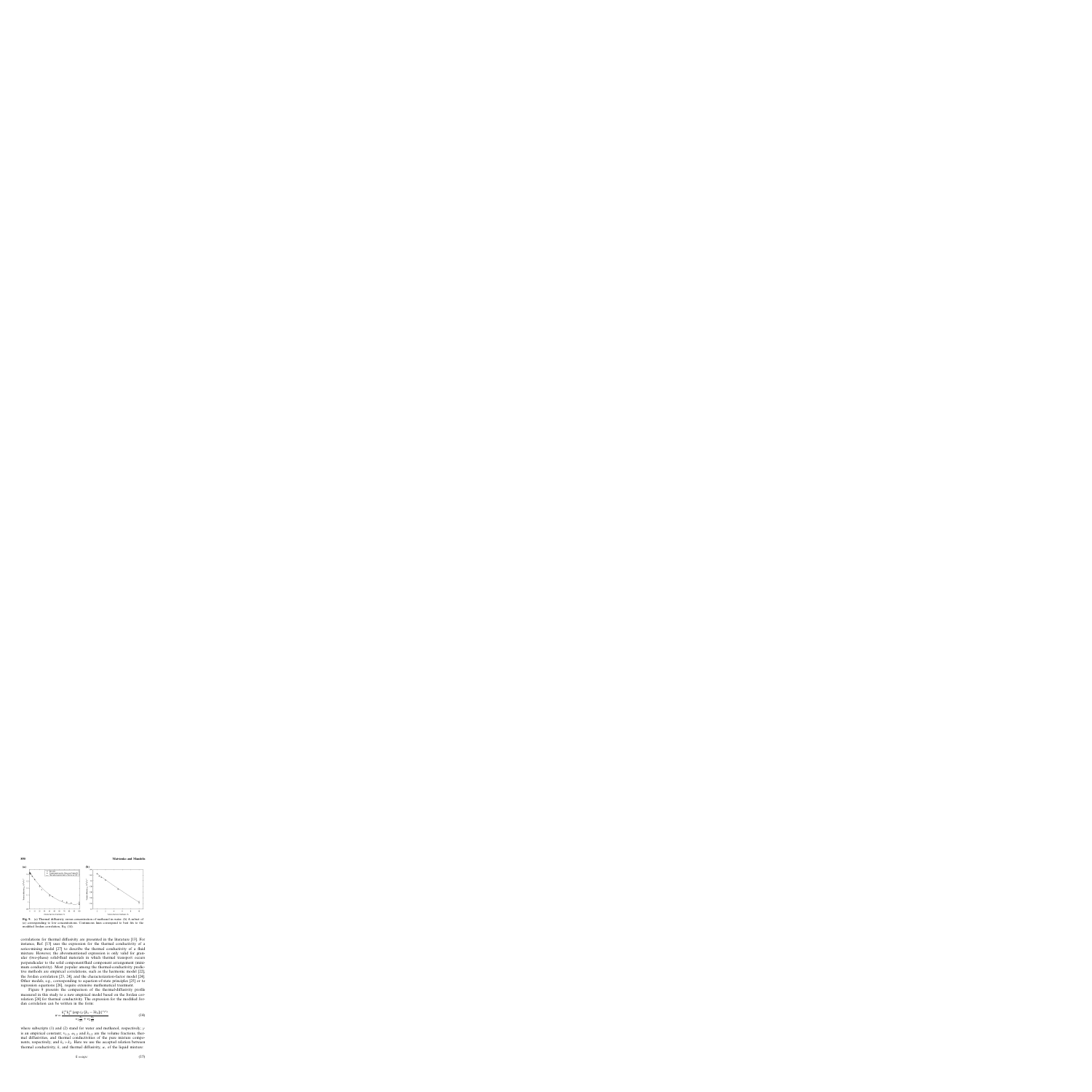

**Fig. 9.** (a) Thermal diffusivity versus concentration of methanol in water. (b) A subset of (a) corresponding to low concentrations. Continuous lines correspond to best fits to the modified Jordan correlation, Eq. (14).

correlations for thermal diffusivity are presented in the literature [13]. For instance, Ref. [13] uses the expression for the thermal conductivity of a series-mixing model [27] to describe the thermal conductivity of a fluid mixture. However, the abovementioned expression is only valid for granular (two-phase) solid-fluid materials in which thermal transport occurs perpendicular to the solid component/fluid component arrangement (minimum conductivity). Most popular among the thermal-conductivity predictive methods are empirical correlations, such as the harmonic model [22], the Jordan correlation [23, 24], and the characterization-factor model [24]. Other models, e.g., corresponding to equation-of-state principles [25] or to regression equations [26], require extensive mathematical treatment.

Figure 9 presents the comparison of the thermal-diffusivity profile measured in this study to a new empirical model based on the Jordan correlation [24] for thermal conductivity. The expression for the modified Jordan correlation can be written in the form:

$$
\alpha = \frac{k_1^{v_1} k_2^{v_2} \left\{ \exp\left(\gamma \left[k_1 - 3k_2\right]\right) \right\}^{v_1 v_2}}{v_1 \frac{k_1}{\alpha_1} + v_2 \frac{k_2}{\alpha_2}} \tag{14}
$$

where subscripts (1) and (2) stand for water and methanol, respectively;  $\gamma$ is an empirical constant;  $v_{1,2}$ ,  $\alpha_{1,2}$  and  $k_{1,2}$  are the volume fractions, thermal diffusivities, and thermal conductivities of the pure mixture components, respectively; and  $k_1 > k_2$ . Here we use the accepted relation between thermal conductivity, k, and thermal diffusivity,  $\alpha$ , of the liquid mixture:

$$
k = \alpha \rho c \tag{15}
$$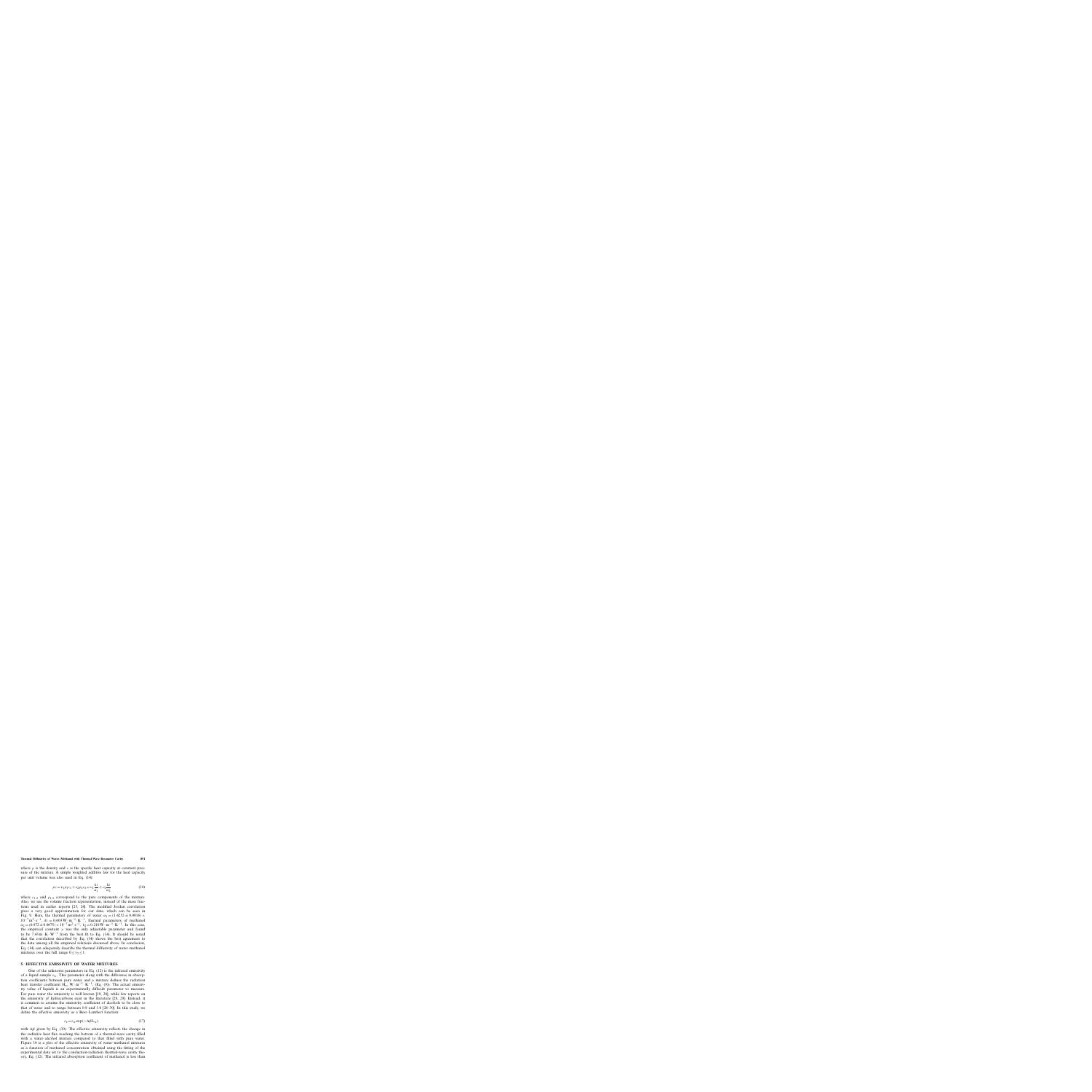where  $\rho$  is the density and c is the specific heat capacity at constant pressure of the mixture. A simple weighted additive law for the heat capacity per unit volume was also used in Eq. (14):

$$
\rho c = v_1 \rho_1 c_1 + v_2 \rho_2 c_2 = v_1 \frac{k_1}{\alpha_1} + v_2 \frac{k_2}{\alpha_2}
$$
\n(16)

where  $c_{1,2}$  and  $\rho_{1,2}$  correspond to the pure components of the mixture. Also, we use the volume fraction representation, instead of the mass fractions used in earlier reports [23, 24]. The modified Jordan correlation gives a very good approximation for our data, which can be seen in Fig. 9. Here, the thermal parameters of water  $\alpha_1 = (1.4252 \pm 0.0014) \times$  $10^{-7}$  m<sup>2</sup>·s<sup>-1</sup>,  $k_1 = 0.603$  W $\cdot$  m<sup>-1</sup>·K<sup>-1</sup>, thermal parameters of methanol  $\alpha_2 = (0.972 \pm 0.0075) \times 10^{-7} \,\text{m}^2 \cdot \text{s}^{-1}, \ k_2 = 0.210 \,\text{W} \cdot \text{m}^{-1} \cdot \text{K}^{-1}$ . In this case, the empirical constant  $\gamma$  was the only adjustable parameter and found to be  $7.43 \text{ m} \cdot \text{K} \cdot \text{W}^{-1}$  from the best fit to Eq. (14). It should be noted that the correlation described by Eq. (14) shows the best agreement to the data among all the empirical relations discussed above. In conclusion, Eq. (14) can adequately describe the thermal diffusivity of water–methanol mixtures over the full range  $0 \le v_2 \le 1$ .

## **5. EFFECTIVE EMISSIVITY OF WATER MIXTURES**

One of the unknown parameters in Eq. (12) is the infrared emissivity of a liquid sample  $\varepsilon_{w}$ . This parameter along with the difference in absorption coefficients between pure water and a mixture defines the radiation heat transfer coefficient H<sub>e</sub>, W · m<sup>-2</sup> · K<sup>-1</sup>, (Eq. (9)). The actual emissivity value of liquids is an experimentally difficult parameter to measure. For pure water the emissivity is well known [19, 20], while few reports on the emissivity of hydrocarbons exist in the literature [28, 29]. Instead, it is common to assume the emissivity coefficient of alcohols to be close to that of water and to range between 0.9 and 1.0 [28–30]. In this study, we define the effective emissivity as a Beer–Lambert function:

$$
\varepsilon_{\rm e} = \varepsilon_{\rm w} \exp(-\Delta \beta L_{\rm w}),\tag{17}
$$

with  $\Delta\beta$  given by Eq. (10). The effective emissivity reflects the change in the radiative heat flux reaching the bottom of a thermal-wave cavity filled with a water–alcohol mixture compared to that filled with pure water. Figure 10 is a plot of the effective emissivity of water–methanol mixtures as a function of methanol concentration obtained using the fitting of the experimental data set to the conduction-radiation thermal-wave cavity theory, Eq. (12). The infrared absorption coefficient of methanol is less than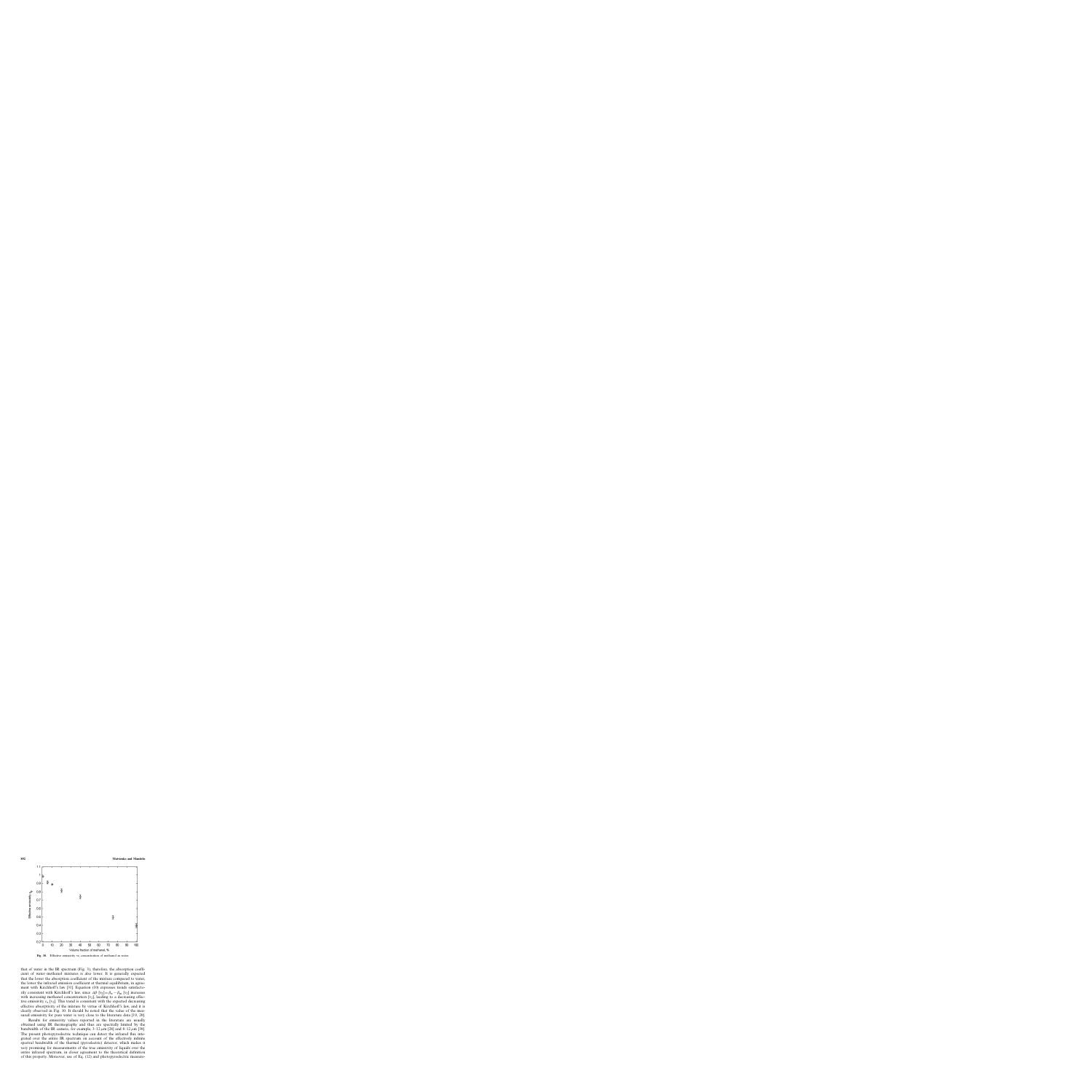

**Fig. 10.** Effective emissivity vs. concentration of methanol in water.

that of water in the IR spectrum (Fig. 3); therefore, the absorption coefficient of water–methanol mixtures is also lower. It is generally expected that the lower the absorption coefficient of the mixture compared to water, the lower the infrared emission coefficient at thermal equilibrium, in agreement with Kirchhoff's law [31]. Equation (10) expresses trends satisfactorily consistent with Kirchhoff's law, since  $\Delta \beta$  [v<sub>2</sub>]= $\beta_w - \beta_m$  [v<sub>2</sub>] increases with increasing methanol concentration  $[v_2]$ , leading to a decreasing effective emissivity  $\varepsilon_e$  [v<sub>2</sub>]. This trend is consistent with the expected decreasing effective absorptivity of the mixture by virtue of Kirchhoff's law, and it is clearly observed in Fig. 10. It should be noted that the value of the measured emissivity for pure water is very close to the literature data [19, 20].

Results for emissivity values reported in the literature are usually obtained using IR thermography and thus are spectrally limited by the bandwidth of the IR camera, for example,  $3-12 \mu m$  [28] and  $8-12 \mu m$  [30]. The present photopyroelectric technique can detect the infrared flux integrated over the entire IR spectrum on account of the effectively infinite spectral bandwidth of the thermal (pyroelectric) detector, which makes it very promising for measurements of the true emissivity of liquids over the entire infrared spectrum, in closer agreement to the theoretical definition of this property. Moreover, use of Eq. (12) and photopyroelectric measure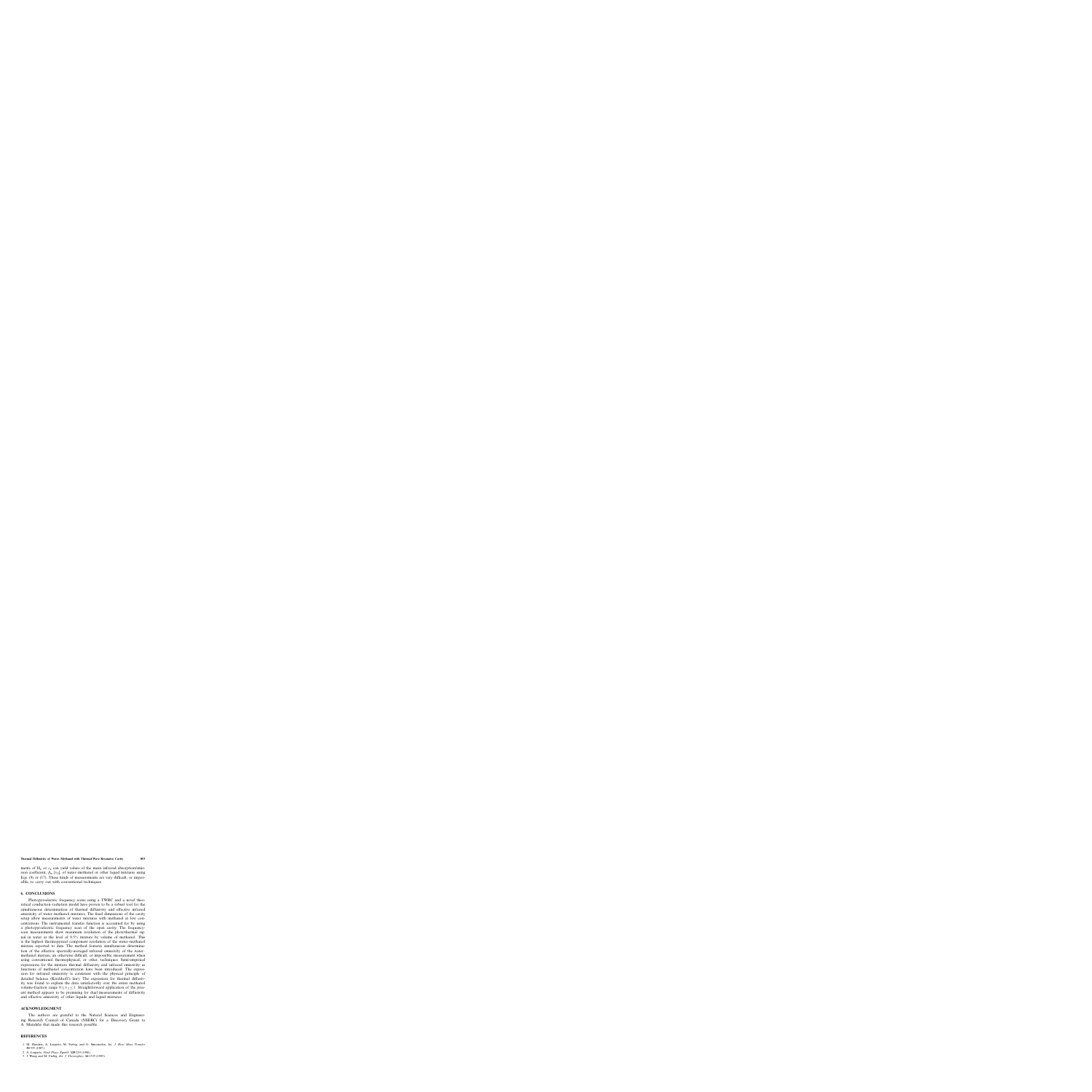ments of  $H_e$  or  $\varepsilon_e$  can yield values of the mean infrared absorption/emission coefficient,  $\beta_m$  [v<sub>2</sub>], of water–methanol or other liquid mixtures using Eqs. (9) or (17). These kinds of measurements are very difficult, or impossible, to carry out with conventional techniques.

## **6. CONCLUSIONS**

Photopyroelectric frequency scans using a TWRC and a novel theoretical conduction–radiation model have proven to be a robust tool for the simultaneous determination of thermal diffusivity and effective infrared emissivity of water–methanol mixtures. The fixed dimensions of the cavity setup allow measurements of water mixtures with methanol at low concentrations. The instrumental transfer function is accounted for by using a photopyroelectric frequency scan of the open cavity. The frequencyscan measurements show maximum resolution of the photothermal signal in water at the level of 0.5% mixture by volume of methanol. This is the highest thermopysical component resolution of the water–methanol mixture reported to date. The method features simultaneous determination of the effective spectrally-averaged infrared emissivity of the water– methanol mixture, an otherwise difficult, or impossible, measurement when using conventional thermophysical, or other, techniques. Semi-empirical expressions for the mixture thermal diffusivity and infrared emissivity as functions of methanol concentration have been introduced. The expression for infrared emissivity is consistent with the physical principle of detailed balance (Kirchhoff's law). The expression for thermal diffusivity was found to explain the data satisfactorily over the entire methanol volume-fraction range  $0 \lt v_2 \lt 1$ . Straightforward application of the present method appears to be promising for dual measurements of diffusivity and effective emissivity of other liquids and liquid mixtures.

### **ACKNOWLEDGMENT**

The authors are grateful to the Natural Sciences and Engineering Research Council of Canada (NSERC) for a Discovery Grant to A. Mandelis that made this research possible.

#### **REFERENCES**

- 1. M. Hendrix, A. Leipertz, M. Fiebig, and G. Simonsohn, *Int. J. Heat Mass Transfer* **30**:333 (1987).
- 2. A. Leipertz, *Fluid Phase Equilib*. **125**:219 (1996).
- 3. J. Wang and M. Fiebig, *Int. J. Thermophys*. **16**:1353 (1995).